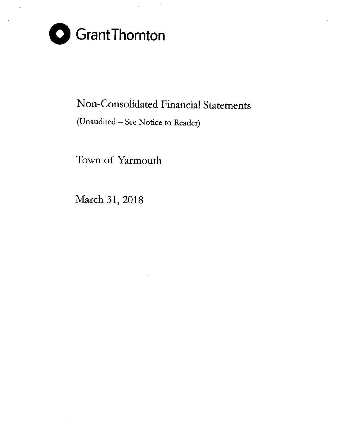

# Non-Consolidated Financial Statements

## (Unaudited- See Notice to Reader)

Town of Yarmouth

March 31, 2018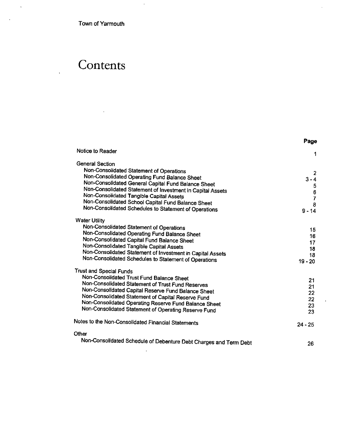Town of Yarmouth

 $\overline{\phantom{a}}$ 

J.

 $\ddot{\phantom{a}}$ 

# **Contents**

|                                                                   | Page                                       |
|-------------------------------------------------------------------|--------------------------------------------|
| Notice to Reader                                                  | 1                                          |
| <b>General Section</b>                                            |                                            |
| Non-Consolidated Statement of Operations                          | 2                                          |
| Non-Consolidated Operating Fund Balance Sheet                     | $3 - 4$                                    |
| Non-Consolidated General Capital Fund Balance Sheet               |                                            |
| Non-Consolidated Statement of Investment in Capital Assets        | $\begin{array}{c} 5 \\ 6 \\ 7 \end{array}$ |
| Non-Consolidated Tangible Capital Assets                          |                                            |
| Non-Consolidated School Capital Fund Balance Sheet                | 8                                          |
| Non-Consolidated Schedules to Statement of Operations             | $9 - 14$                                   |
| <b>Water Utility</b>                                              |                                            |
| Non-Consolidated Statement of Operations                          | 15                                         |
| Non-Consolidated Operating Fund Balance Sheet                     | 16                                         |
| Non-Consolidated Capital Fund Balance Sheet                       | 17                                         |
| Non-Consolidated Tangible Capital Assets                          | 18                                         |
| Non-Consolidated Statement of Investment in Capital Assets        | 18                                         |
| Non-Consolidated Schedules to Statement of Operations             | $19 - 20$                                  |
| Trust and Special Funds                                           |                                            |
| Non-Consolidated Trust Fund Balance Sheet                         | 21                                         |
| Non-Consolidated Statement of Trust Fund Reserves                 | 21                                         |
| Non-Consolidated Capital Reserve Fund Balance Sheet               | 22                                         |
| Non-Consolidated Statement of Capital Reserve Fund                | 22                                         |
| Non-Consolidated Operating Reserve Fund Balance Sheet             | 23                                         |
| Non-Consolidated Statement of Operating Reserve Fund              | 23                                         |
| Notes to the Non-Consolidated Financial Statements                | $24 - 25$                                  |
| Other                                                             |                                            |
| Non-Consolidated Schedule of Debenture Debt Charges and Term Debt | 26                                         |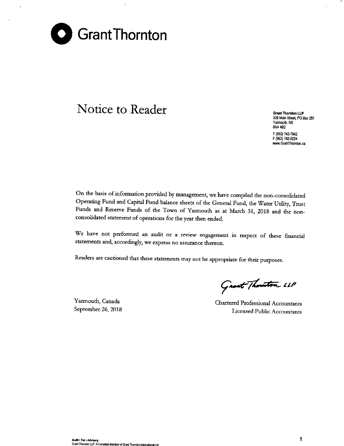

# **Notice to Reader Grant Crant Crant Crant Crant Crant Crant Crant**

**328 Main Street, PO Box 297 Yarmouth, NS 85A482** T (902)742-7842 F (902) 742-0224 **www.GrantThomton.ca**

On the basis of information provided by management, we have compiled the non-consolidated Operating Fund and Capital Fund balance sheets of the General Fund, the Water Utility, Trust Funds and Reserve Funds of the Town of Yarmouth as at March 31, 2018 and the nonconsolidated statement of operations for the year then ended,

**We have not performed an audit or a review engagement in respect of these financial statements and, accordingly, we express no assurance thereon.**

**Readers are cautioned that these statements may not be appropriate for their purposes.**

Yarmouth, Canada September 26, 2018

Grant Thouston 11P

Chartered Professional Accountants *I***.icensed Public Accountants**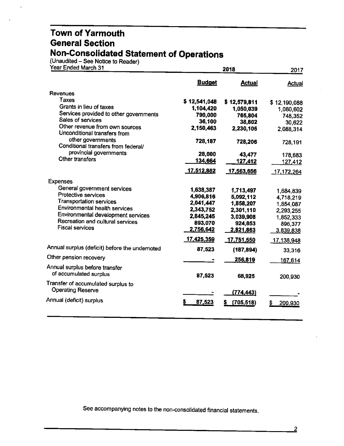(Unaudited – See Notice to Reader

| Year Ended March 31                                            |               | 2018             | 2017           |
|----------------------------------------------------------------|---------------|------------------|----------------|
|                                                                | <b>Budget</b> | <b>Actual</b>    | Actual         |
| Revenues                                                       |               |                  |                |
| <b>Taxes</b>                                                   | \$12,541,048  | \$12,579,811     | \$12,190,088   |
| Grants in lieu of taxes                                        | 1,104,420     | 1,050,039        | 1,080,602      |
| Services provided to other governments                         | 790,000       | 765,804          | 748,352        |
| Sales of services                                              | 36,100        | 38,802           | 30,622         |
| Other revenue from own sources<br>Unconditional transfers from | 2,150,463     | 2,230,105        | 2,088,314      |
| other governments<br>Conditional transfers from federal/       | 728,187       | 728,206          | 728,191        |
| provincial governments                                         | 28,000        | 43,477           | 178,683        |
| Other transfers                                                | 134,664       | <u>127,412</u>   | 127,412        |
|                                                                | 17,512,882    | 17,563,656       | 17,172,264     |
| <b>Expenses</b>                                                |               |                  |                |
| General government services                                    | 1,638,387     | 1,713,497        | 1,684,839      |
| Protective services                                            | 4,906,816     | 5,092,112        | 4,718,219      |
| <b>Transportation services</b>                                 | 2,041,447     | 1,858,207        | 1,854,087      |
| Environmental health services                                  | 2,343,752     | 2,301,110        | 2,293,255      |
| Environmental development services                             | 2,845,245     | 3,039,908        | 1,852,333      |
| Recreation and cultural services<br><b>Fiscal services</b>     | 893,070       | 924,853          | 896,377        |
|                                                                | 2,756,642     | 2,821,863        | 3,839,838      |
|                                                                | 17,425,359    | 17,751,550       | 17,138,948     |
| Annual surplus (deficit) before the undernoted                 | 87,523        | (187, 894)       | 33,316         |
| Other pension recovery                                         |               | 256,819          | <u>167,614</u> |
| Annual surplus before transfer                                 |               |                  |                |
| of accumulated surplus                                         | 87,523        | 68,925           | 200,930        |
| Transfer of accumulated surplus to<br>Operating Reserve        |               | <u>(774,443)</u> |                |
| Annual (deficit) surplus                                       | s<br>87,523   | (705, 518)       | 200,930        |
|                                                                |               |                  |                |

See accompanying notes to the non-consolidated financial statements.

2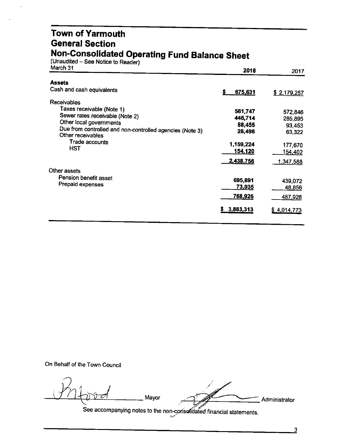#### **Town of Yarmouth General Section Non-Consolidated Operating Fund Balance Sheet**

(Unaudited – See Notice to Reader)

| March 31                                                                      | 2018            | 2017        |
|-------------------------------------------------------------------------------|-----------------|-------------|
| <b>Assets</b>                                                                 |                 |             |
| Cash and cash equivalents                                                     | 675,631<br>s    | \$2,179,257 |
| <b>Receivables</b>                                                            |                 |             |
| Taxes receivable (Note 1)                                                     | 561,747         | 572,846     |
| Sewer rates receivable (Note 2)                                               | 446,714         | 285,895     |
| Other local governments                                                       | 88,455          | 93,453      |
| Due from controlled and non-controlled agencies (Note 3)<br>Other receivables | 28,496          | 63,322      |
| Trade accounts                                                                | 1,159,224       | 177,670     |
| HST                                                                           | 154,120         | 154,402     |
|                                                                               | 2,438,756       | 1,347,588   |
| Other assets                                                                  |                 |             |
| Pension benefit asset                                                         | 695,891         | 439,072     |
| Prepaid expenses                                                              | <u>73,035</u>   | 48,856      |
|                                                                               | 768,926         | 487,928     |
|                                                                               | 3,883,313<br>S. | \$4,014,773 |
|                                                                               |                 |             |

On Behalf of the Town Council

*Pn4* **b** *Pn4 administrator <br> See assumption add <i>i* iii

See accompanying notes to the non-consolidated fi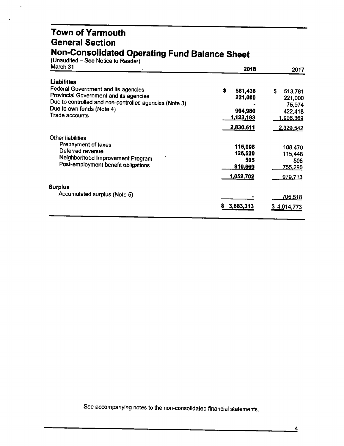#### **Town of Yarmouth General Section Non-Consolidated Operating Fund Balance Sheet**

| (Unaudited – See Notice to Reader) |  |
|------------------------------------|--|
| 11L 84                             |  |

| March 31                                               | 2018             | 2017               |
|--------------------------------------------------------|------------------|--------------------|
| Liabilities                                            |                  |                    |
| Federal Government and its agencies                    | S<br>581,438     | S<br>513,781       |
| Provincial Government and its agencies                 | 221,000          | 221,000            |
| Due to controlled and non-controlled agencies (Note 3) |                  | 75,974             |
| Due to own funds (Note 4)                              | 904,980          | 422,418            |
| Trade accounts                                         | <u>1,123,193</u> | 1,096,369          |
|                                                        | 2,830,611        | 2,329,542          |
| Other liabilities                                      |                  |                    |
| Prepayment of taxes                                    | 115,008          | 108,470            |
| Deferred revenue                                       | 126,520          | 115,448            |
| Neighborhood Improvement Program                       | 505              | 505                |
| Post-employment benefit obligations                    | 810,669          | 755,290            |
|                                                        | 1,052,702        | 979,713            |
| Surplus                                                |                  |                    |
| Accumulated surplus (Note 5)                           |                  | <u>705,518</u>     |
|                                                        | 3,883,313        |                    |
|                                                        |                  | <u>\$4,014,773</u> |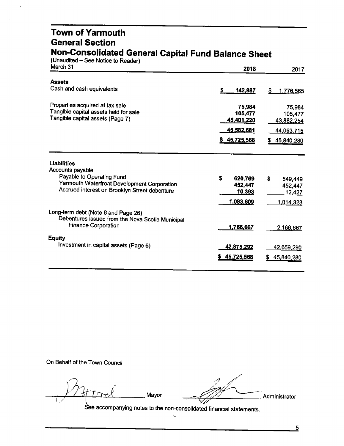#### **Town of Yarmouth General Section Non-Consolidated General Capital Fund Balance Sheet**

(Unaudited – See Notice to Reader

| March 31                                                                                | 2018          | 2017               |
|-----------------------------------------------------------------------------------------|---------------|--------------------|
| <b>Assets</b>                                                                           |               |                    |
| Cash and cash equivalents                                                               | S<br>142,887  | S<br>1,776,565     |
| Properties acquired at tax sale                                                         | 75,984        | 75,984             |
| Tangible capital assets held for sale<br>Tangible capital assets (Page 7)               | 105,477       | 105,477            |
|                                                                                         | 45,401,220    | 43,882,254         |
|                                                                                         | 45,582,681    | 44,063,715         |
|                                                                                         | \$45,725,568  | 45,840,280         |
| <b>Liabilities</b><br>Accounts payable                                                  |               |                    |
| Payable to Operating Fund                                                               | Ŝ<br>620,769  | \$<br>549,449      |
| Yarmouth Waterfront Development Corporation                                             | 452,447       | 452,447            |
| Accrued interest on Brooklyn Street debenture                                           | <u>10,393</u> | 12,427             |
|                                                                                         | 1,083,609     | 1,014,323          |
| Long-term debt (Note 6 and Page 26)<br>Debentures issued from the Nova Scotia Municipal |               |                    |
| <b>Finance Corporation</b>                                                              | 1,766,667     | 2.166,667          |
| <b>Equity</b>                                                                           |               |                    |
| Investment in capital assets (Page 6)                                                   | 42,875,292    | <u>42,659,</u> 290 |
|                                                                                         | \$45,725,568  | 45,840,280         |
|                                                                                         |               |                    |

On Behalf of the Town Council

*J* 0

'// ~ *) I* + three *d* Mayor ... Administrator ... Administrator ... .<br>://

accompanying notes to the non-consolidated financial statements.  $\bar{\mathbb{U}}$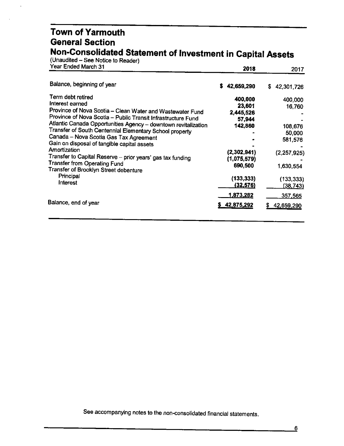#### **Town of Yarmouth General Section Non-Consolidated Statement of Investment in Capital Assets**

| (Unaudited – See Notice to Reader)                                                                                                                                                                                                                                                                                                                                                                                                                                                                                                                    |                                                                                              |                                                                                 |
|-------------------------------------------------------------------------------------------------------------------------------------------------------------------------------------------------------------------------------------------------------------------------------------------------------------------------------------------------------------------------------------------------------------------------------------------------------------------------------------------------------------------------------------------------------|----------------------------------------------------------------------------------------------|---------------------------------------------------------------------------------|
| Year Ended March 31                                                                                                                                                                                                                                                                                                                                                                                                                                                                                                                                   | 2018                                                                                         | 2017                                                                            |
| Balance, beginning of year                                                                                                                                                                                                                                                                                                                                                                                                                                                                                                                            | s<br>42,659,290                                                                              | S.<br>42,301,726                                                                |
| Term debt retired<br>Interest earned<br>Province of Nova Scotia - Clean Water and Wastewater Fund<br>Province of Nova Scotia - Public Transit Infrastructure Fund<br>Atlantic Canada Opportunities Agency - downtown revitalization<br>Transfer of South Centennial Elementary School property<br>Canada - Nova Scotia Gas Tax Agreement<br>Gain on disposal of tangible capital assets<br>Amortization<br>Transfer to Capital Reserve - prior years' gas tax funding<br><b>Transfer from Operating Fund</b><br>Transfer of Brooklyn Street debenture | 400,000<br>23,601<br>2,445,526<br>57,944<br>142,860<br>(2,302,941)<br>(1,075,579)<br>690,500 | 400,000<br>16,760<br>108,676<br>50,000<br>581,576<br>(2, 257, 925)<br>1,630,554 |
| Principal<br>Interest                                                                                                                                                                                                                                                                                                                                                                                                                                                                                                                                 | (133, 333)<br><u>(32,576)</u>                                                                | (133, 333)<br>(38, 743)                                                         |
| Balance, end of year                                                                                                                                                                                                                                                                                                                                                                                                                                                                                                                                  | 1,873,282<br><u>\$42,875,292</u>                                                             | 357,565<br>42,659,290<br>S                                                      |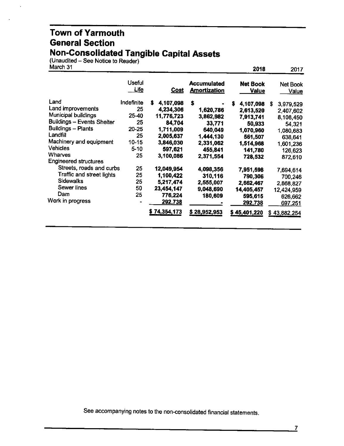#### **Town of Yarmouth General Section Non-Consolidated Tangible Capital Assets**

(Unaudited - See Notice to Reader)

| March 31                          |                       |                |                                           | 2018                            | 2017                            |
|-----------------------------------|-----------------------|----------------|-------------------------------------------|---------------------------------|---------------------------------|
|                                   | <b>Useful</b><br>Life | <u>Cost</u>    | <b>Accumulated</b><br><b>Amortization</b> | <b>Net Book</b><br><b>Value</b> | <b>Net Book</b><br><u>Value</u> |
| Land                              | Indefinite            | S<br>4,107,098 | S                                         | S<br>4,107,098                  | S<br>3,979,529                  |
| Land improvements                 | 25                    | 4,234,306      | 1,620,786                                 | 2,613,520                       | 2,407,602                       |
| Municipal buildings               | 25-40                 | 11,776,723     | 3,862,982                                 | 7,913,741                       | 8,108,450                       |
| <b>Buildings - Events Shelter</b> | 25                    | 84,704         | 33,771                                    | 50,933                          | 54,321                          |
| <b>Buildings - Plants</b>         | 20-25                 | 1,711,009      | 640,049                                   | 1,070,960                       | 1,080,683                       |
| Landfill                          | 25                    | 2,005,637      | 1,444,130                                 | 561,507                         | 638,641                         |
| Machinery and equipment           | 10-15                 | 3,846,030      | 2,331,062                                 | 1,514,968                       | 1,601,236                       |
| <b>Vehicles</b>                   | $5 - 10$              | 597,621        | 455,841                                   | 141,780                         | 126,623                         |
| Wharves                           | 25                    | 3,100,086      | 2,371,554                                 | 728,532                         | 872,610                         |
| <b>Engineered structures</b>      |                       |                |                                           |                                 |                                 |
| Streets, roads and curbs          | 25                    | 12,049,954     | 4,098,356                                 | 7,951,598                       | 7,694,614                       |
| Traffic and street lights         | 25                    | 1,100,422      | 310,116                                   | 790,306                         | 700,246                         |
| <b>Sidewalks</b>                  | 25                    | 5,217,474      | 2,555,007                                 | 2,662,467                       | 2,868,827                       |
| Sewer lines                       | 50                    | 23,454,147     | 9,048,690                                 | 14,405,457                      | 12,424,959                      |
| Dam                               | 25                    | 776,224        | 180,609                                   | 595,615                         | 626,662                         |
| Work in progress                  |                       | 292,738        |                                           | 292,738                         | <u>697,251</u>                  |
|                                   |                       | \$74,354,173   | \$28,952,953                              | \$45,401,220                    | \$43,882,254                    |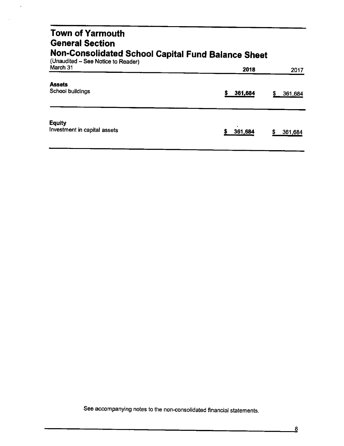#### Town of Yarmouth General Section Non-Consolidated School Capital Fund Balance Sheet

| (Unaudited – See Notice to Reader)<br>March 31 | 2018         | 2017          |
|------------------------------------------------|--------------|---------------|
| <b>Assets</b><br>School buildings              | 361,684<br>s | 361,684<br>S  |
| <b>Equity</b><br>Investment in capital assets  | 361,684      | \$<br>361,684 |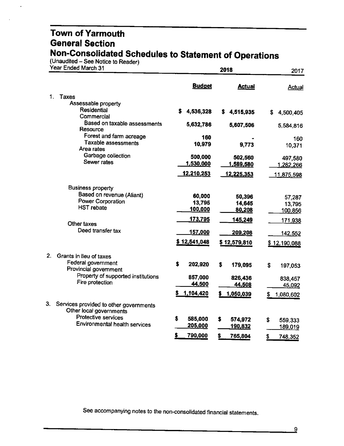(Unaudited – See Notice to Reader)

|             | Year Ended March 31                            |                      | 2018            | 2017              |
|-------------|------------------------------------------------|----------------------|-----------------|-------------------|
|             |                                                | <b>Budget</b>        | <b>Actual</b>   | <b>Actual</b>     |
| 1.<br>Taxes |                                                |                      |                 |                   |
|             | Assessable property                            |                      |                 |                   |
|             | <b>Residential</b><br>Commercial               | S.<br>4,536,328      | 4,515,935<br>S. | S.<br>4,500,405   |
|             | Based on taxable assessments                   |                      |                 |                   |
|             | Resource                                       | 5,632,786            | 5,607,506       | 5,584,816         |
|             | Forest and farm acreage                        | 160                  |                 | 160               |
|             | Taxable assessments                            | 10,979               | 9,773           | 10,371            |
|             | Area rates                                     |                      |                 |                   |
|             | Garbage collection<br>Sewer rates              | 500,000              | 502,560         | 497,580           |
|             |                                                | 1,530,000            | 1,589,580       | 1,282,266         |
|             |                                                | 12,210,253           | 12,225,353      | <u>11,875,598</u> |
|             | <b>Business property</b>                       |                      |                 |                   |
|             | Based on revenue (Aliant)                      | 60,000               | 50,396          | 57,287            |
|             | <b>Power Corporation</b>                       | 13,795               | 14,645          | 13,795            |
|             | <b>HST</b> rebate                              | 100,000              | 80,208          | 100,856           |
|             | Other taxes                                    | 173,795              | 145,249         | 171,938           |
|             | Deed transfer tax                              | 157,000              | 209,208         | <u>142,552</u>    |
|             |                                                | \$12,541,048         | \$12,579,810    | \$12,190,088      |
|             |                                                |                      |                 |                   |
| 2.          | Grants in lieu of taxes<br>Federal government  |                      |                 |                   |
|             | Provincial government                          | \$<br>202,920        | \$<br>179,095   | \$<br>197,053     |
|             | Property of supported institutions             | 857,000              | 826,436         |                   |
|             | Fire protection                                | 44,500               | 44,508          | 838,457<br>45,092 |
|             |                                                |                      |                 |                   |
|             |                                                | 1,104,420            | 1,050,039       | \$<br>1,080,602   |
| 3.          | Services provided to other governments         |                      |                 |                   |
|             | Other local governments<br>Protective services |                      |                 |                   |
|             | Environmental health services                  | \$<br>585,000        | \$<br>574,972   | \$<br>559,333     |
|             |                                                | 205,000              | 190,832         | 189,019           |
|             |                                                | 790,000<br><u>\$</u> | \$<br>765,804   | \$<br>748,352     |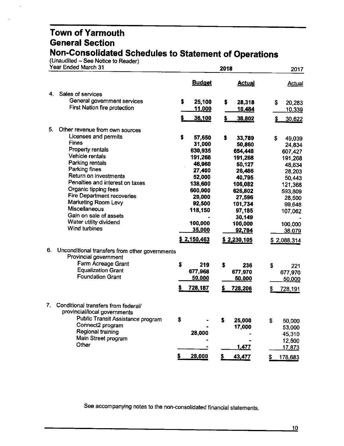(Unaudited - See Notice to Reader)

| <b>Budget</b><br><b>Actual</b><br>4.<br>Sales of services<br>General government services<br>\$<br>25,100<br>\$<br>28,318<br>\$<br><b>First Nation fire protection</b><br>11,000<br>10,484<br>s<br>36,100<br>\$<br>38,802<br>\$.<br>5.<br>Other revenue from own sources<br>Licenses and permits<br>\$<br>57,650<br>\$<br>33,789<br>\$<br>49,039<br><b>Fines</b><br>31,000<br>50,860<br>24,834<br><b>Property rentals</b><br>630,935<br>654.448<br>607,427<br>Vehicle rentals<br>191,268<br>191,268<br>191,268<br>Parking rentals<br>46,960<br>50,127<br>Parking fines<br>27,400<br>26,486<br>Return on investments<br>52,000<br>40,795<br>Penalties and interest on taxes<br>138,600<br>106,082<br>Organic tipping fees<br>600,000<br>626,802<br><b>Fire Department recoveries</b><br>29,000<br>27,596<br>Marketing Room Levy<br>92,500<br>101,734<br>Miscellaneous<br>118,150<br>97,185<br>Gain on sale of assets<br>30,149<br>Water utility dividend<br>100,000<br>100,000<br>Wind turbines<br>35,000<br>92,784<br>38,079<br>\$2,150,463<br>\$2,230,105<br>\$2,088,314<br>6.<br>Unconditional transfers from other governments<br>Provincial government<br>Farm Acreage Grant<br>$\mathbf{s}$<br>\$<br>219<br>\$<br>236<br><b>Equalization Grant</b><br>677,968<br>677,970<br>677,970<br><b>Foundation Grant</b><br>50,000<br>50,000<br>50,000<br>728,187<br>728,206<br>7.<br>Conditional transfers from federal/<br>provincial/local governments<br>Public Transit Assistance program<br>\$<br>\$<br>25,000<br>\$<br>50,000<br>Connect2 program<br>17,000<br>53,000<br>Regional training<br>28,000<br>45,310<br>Main Street program<br>12,500<br>Other<br>1,477<br>17,873<br>28,000<br>\$<br>s<br>43,477<br>S | Year Ended March 31 | 2018 | 2017          |
|------------------------------------------------------------------------------------------------------------------------------------------------------------------------------------------------------------------------------------------------------------------------------------------------------------------------------------------------------------------------------------------------------------------------------------------------------------------------------------------------------------------------------------------------------------------------------------------------------------------------------------------------------------------------------------------------------------------------------------------------------------------------------------------------------------------------------------------------------------------------------------------------------------------------------------------------------------------------------------------------------------------------------------------------------------------------------------------------------------------------------------------------------------------------------------------------------------------------------------------------------------------------------------------------------------------------------------------------------------------------------------------------------------------------------------------------------------------------------------------------------------------------------------------------------------------------------------------------------------------------------------------------------------------------------------------------------------------|---------------------|------|---------------|
|                                                                                                                                                                                                                                                                                                                                                                                                                                                                                                                                                                                                                                                                                                                                                                                                                                                                                                                                                                                                                                                                                                                                                                                                                                                                                                                                                                                                                                                                                                                                                                                                                                                                                                                  |                     |      | <b>Actual</b> |
|                                                                                                                                                                                                                                                                                                                                                                                                                                                                                                                                                                                                                                                                                                                                                                                                                                                                                                                                                                                                                                                                                                                                                                                                                                                                                                                                                                                                                                                                                                                                                                                                                                                                                                                  |                     |      |               |
|                                                                                                                                                                                                                                                                                                                                                                                                                                                                                                                                                                                                                                                                                                                                                                                                                                                                                                                                                                                                                                                                                                                                                                                                                                                                                                                                                                                                                                                                                                                                                                                                                                                                                                                  |                     |      | 20,283        |
|                                                                                                                                                                                                                                                                                                                                                                                                                                                                                                                                                                                                                                                                                                                                                                                                                                                                                                                                                                                                                                                                                                                                                                                                                                                                                                                                                                                                                                                                                                                                                                                                                                                                                                                  |                     |      | 10,339        |
|                                                                                                                                                                                                                                                                                                                                                                                                                                                                                                                                                                                                                                                                                                                                                                                                                                                                                                                                                                                                                                                                                                                                                                                                                                                                                                                                                                                                                                                                                                                                                                                                                                                                                                                  |                     |      | 30,622        |
|                                                                                                                                                                                                                                                                                                                                                                                                                                                                                                                                                                                                                                                                                                                                                                                                                                                                                                                                                                                                                                                                                                                                                                                                                                                                                                                                                                                                                                                                                                                                                                                                                                                                                                                  |                     |      |               |
|                                                                                                                                                                                                                                                                                                                                                                                                                                                                                                                                                                                                                                                                                                                                                                                                                                                                                                                                                                                                                                                                                                                                                                                                                                                                                                                                                                                                                                                                                                                                                                                                                                                                                                                  |                     |      |               |
|                                                                                                                                                                                                                                                                                                                                                                                                                                                                                                                                                                                                                                                                                                                                                                                                                                                                                                                                                                                                                                                                                                                                                                                                                                                                                                                                                                                                                                                                                                                                                                                                                                                                                                                  |                     |      |               |
|                                                                                                                                                                                                                                                                                                                                                                                                                                                                                                                                                                                                                                                                                                                                                                                                                                                                                                                                                                                                                                                                                                                                                                                                                                                                                                                                                                                                                                                                                                                                                                                                                                                                                                                  |                     |      |               |
|                                                                                                                                                                                                                                                                                                                                                                                                                                                                                                                                                                                                                                                                                                                                                                                                                                                                                                                                                                                                                                                                                                                                                                                                                                                                                                                                                                                                                                                                                                                                                                                                                                                                                                                  |                     |      |               |
|                                                                                                                                                                                                                                                                                                                                                                                                                                                                                                                                                                                                                                                                                                                                                                                                                                                                                                                                                                                                                                                                                                                                                                                                                                                                                                                                                                                                                                                                                                                                                                                                                                                                                                                  |                     |      | 48,634        |
|                                                                                                                                                                                                                                                                                                                                                                                                                                                                                                                                                                                                                                                                                                                                                                                                                                                                                                                                                                                                                                                                                                                                                                                                                                                                                                                                                                                                                                                                                                                                                                                                                                                                                                                  |                     |      | 28,203        |
|                                                                                                                                                                                                                                                                                                                                                                                                                                                                                                                                                                                                                                                                                                                                                                                                                                                                                                                                                                                                                                                                                                                                                                                                                                                                                                                                                                                                                                                                                                                                                                                                                                                                                                                  |                     |      | 50,443        |
|                                                                                                                                                                                                                                                                                                                                                                                                                                                                                                                                                                                                                                                                                                                                                                                                                                                                                                                                                                                                                                                                                                                                                                                                                                                                                                                                                                                                                                                                                                                                                                                                                                                                                                                  |                     |      | 121,368       |
|                                                                                                                                                                                                                                                                                                                                                                                                                                                                                                                                                                                                                                                                                                                                                                                                                                                                                                                                                                                                                                                                                                                                                                                                                                                                                                                                                                                                                                                                                                                                                                                                                                                                                                                  |                     |      | 593,809       |
|                                                                                                                                                                                                                                                                                                                                                                                                                                                                                                                                                                                                                                                                                                                                                                                                                                                                                                                                                                                                                                                                                                                                                                                                                                                                                                                                                                                                                                                                                                                                                                                                                                                                                                                  |                     |      | 28,500        |
|                                                                                                                                                                                                                                                                                                                                                                                                                                                                                                                                                                                                                                                                                                                                                                                                                                                                                                                                                                                                                                                                                                                                                                                                                                                                                                                                                                                                                                                                                                                                                                                                                                                                                                                  |                     |      | 99,648        |
|                                                                                                                                                                                                                                                                                                                                                                                                                                                                                                                                                                                                                                                                                                                                                                                                                                                                                                                                                                                                                                                                                                                                                                                                                                                                                                                                                                                                                                                                                                                                                                                                                                                                                                                  |                     |      | 107,062       |
|                                                                                                                                                                                                                                                                                                                                                                                                                                                                                                                                                                                                                                                                                                                                                                                                                                                                                                                                                                                                                                                                                                                                                                                                                                                                                                                                                                                                                                                                                                                                                                                                                                                                                                                  |                     |      |               |
|                                                                                                                                                                                                                                                                                                                                                                                                                                                                                                                                                                                                                                                                                                                                                                                                                                                                                                                                                                                                                                                                                                                                                                                                                                                                                                                                                                                                                                                                                                                                                                                                                                                                                                                  |                     |      | 100,000       |
|                                                                                                                                                                                                                                                                                                                                                                                                                                                                                                                                                                                                                                                                                                                                                                                                                                                                                                                                                                                                                                                                                                                                                                                                                                                                                                                                                                                                                                                                                                                                                                                                                                                                                                                  |                     |      |               |
|                                                                                                                                                                                                                                                                                                                                                                                                                                                                                                                                                                                                                                                                                                                                                                                                                                                                                                                                                                                                                                                                                                                                                                                                                                                                                                                                                                                                                                                                                                                                                                                                                                                                                                                  |                     |      |               |
|                                                                                                                                                                                                                                                                                                                                                                                                                                                                                                                                                                                                                                                                                                                                                                                                                                                                                                                                                                                                                                                                                                                                                                                                                                                                                                                                                                                                                                                                                                                                                                                                                                                                                                                  |                     |      |               |
|                                                                                                                                                                                                                                                                                                                                                                                                                                                                                                                                                                                                                                                                                                                                                                                                                                                                                                                                                                                                                                                                                                                                                                                                                                                                                                                                                                                                                                                                                                                                                                                                                                                                                                                  |                     |      |               |
|                                                                                                                                                                                                                                                                                                                                                                                                                                                                                                                                                                                                                                                                                                                                                                                                                                                                                                                                                                                                                                                                                                                                                                                                                                                                                                                                                                                                                                                                                                                                                                                                                                                                                                                  |                     |      | 221           |
|                                                                                                                                                                                                                                                                                                                                                                                                                                                                                                                                                                                                                                                                                                                                                                                                                                                                                                                                                                                                                                                                                                                                                                                                                                                                                                                                                                                                                                                                                                                                                                                                                                                                                                                  |                     |      |               |
|                                                                                                                                                                                                                                                                                                                                                                                                                                                                                                                                                                                                                                                                                                                                                                                                                                                                                                                                                                                                                                                                                                                                                                                                                                                                                                                                                                                                                                                                                                                                                                                                                                                                                                                  |                     |      |               |
|                                                                                                                                                                                                                                                                                                                                                                                                                                                                                                                                                                                                                                                                                                                                                                                                                                                                                                                                                                                                                                                                                                                                                                                                                                                                                                                                                                                                                                                                                                                                                                                                                                                                                                                  |                     |      | 728,191       |
|                                                                                                                                                                                                                                                                                                                                                                                                                                                                                                                                                                                                                                                                                                                                                                                                                                                                                                                                                                                                                                                                                                                                                                                                                                                                                                                                                                                                                                                                                                                                                                                                                                                                                                                  |                     |      |               |
|                                                                                                                                                                                                                                                                                                                                                                                                                                                                                                                                                                                                                                                                                                                                                                                                                                                                                                                                                                                                                                                                                                                                                                                                                                                                                                                                                                                                                                                                                                                                                                                                                                                                                                                  |                     |      |               |
|                                                                                                                                                                                                                                                                                                                                                                                                                                                                                                                                                                                                                                                                                                                                                                                                                                                                                                                                                                                                                                                                                                                                                                                                                                                                                                                                                                                                                                                                                                                                                                                                                                                                                                                  |                     |      |               |
|                                                                                                                                                                                                                                                                                                                                                                                                                                                                                                                                                                                                                                                                                                                                                                                                                                                                                                                                                                                                                                                                                                                                                                                                                                                                                                                                                                                                                                                                                                                                                                                                                                                                                                                  |                     |      |               |
|                                                                                                                                                                                                                                                                                                                                                                                                                                                                                                                                                                                                                                                                                                                                                                                                                                                                                                                                                                                                                                                                                                                                                                                                                                                                                                                                                                                                                                                                                                                                                                                                                                                                                                                  |                     |      |               |
|                                                                                                                                                                                                                                                                                                                                                                                                                                                                                                                                                                                                                                                                                                                                                                                                                                                                                                                                                                                                                                                                                                                                                                                                                                                                                                                                                                                                                                                                                                                                                                                                                                                                                                                  |                     |      |               |
|                                                                                                                                                                                                                                                                                                                                                                                                                                                                                                                                                                                                                                                                                                                                                                                                                                                                                                                                                                                                                                                                                                                                                                                                                                                                                                                                                                                                                                                                                                                                                                                                                                                                                                                  |                     |      |               |
|                                                                                                                                                                                                                                                                                                                                                                                                                                                                                                                                                                                                                                                                                                                                                                                                                                                                                                                                                                                                                                                                                                                                                                                                                                                                                                                                                                                                                                                                                                                                                                                                                                                                                                                  |                     |      | 178,683       |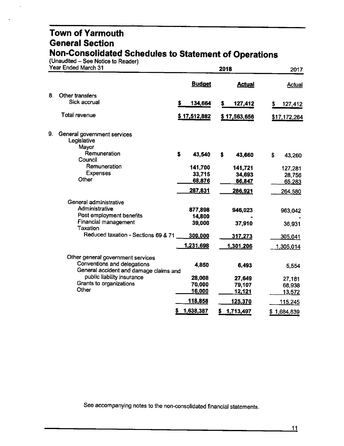(Unaudited - See Notice to Reader)

|    | Year Ended March 31                                                   |     |               | 2018 |                | 2017            |
|----|-----------------------------------------------------------------------|-----|---------------|------|----------------|-----------------|
|    |                                                                       |     | <b>Budget</b> |      | <b>Actual</b>  | Actual          |
| 8. | Other transfers                                                       |     |               |      |                |                 |
|    | Sick accrual                                                          | \$. | 134,664       | s    | 127,412        | \$<br>127,412   |
|    | Total revenue                                                         |     | \$17,512,882  |      | \$17,563,656   | \$17,172,264    |
| 9. | General government services<br>Legislative<br>Mayor                   |     |               |      |                |                 |
|    | Remuneration<br>Council                                               | \$  | 43,540        | S    | 43,660         | \$<br>43,260    |
|    | Remuneration                                                          |     | 141,700       |      | 141,721        | 127,281         |
|    | <b>Expenses</b>                                                       |     | 33,715        |      | 34,693         | 28,756          |
|    | Other                                                                 |     | 68,876        |      | 66,847         | 65,283          |
|    |                                                                       |     | 287,831       |      | 286,921        | 264,580         |
|    | General administrative                                                |     |               |      |                |                 |
|    | Administrative                                                        |     | 877,898       |      | 946,023        | 963,042         |
|    | Post employment benefits                                              |     | 14,800        |      |                |                 |
|    | Financial management<br>Taxation                                      |     | 39,000        |      | 37,910         | 36,931          |
|    | Reduced taxation - Sections 69 & 71                                   |     | 300,000       |      | 317,273        | 305,041         |
|    |                                                                       |     | 1,231,698     |      | 1,301,206      | 1,305,014       |
|    | Other general government services                                     |     |               |      |                |                 |
|    | Conventions and delegations<br>General accident and damage claims and |     | 4,850         |      | 6,493          | 5,554           |
|    | public liability insurance                                            |     | 28,008        |      | 27,649         | 27,181          |
|    | Grants to organizations                                               |     | 70,000        |      | 79,107         | 68,938          |
|    | Other                                                                 |     | <u>16,000</u> |      | <u>12,121</u>  | 13,572          |
|    |                                                                       |     | 118,858       |      | <u>125,370</u> | 115,245         |
|    |                                                                       |     | 1,638,387     | s    | 1,713,497      | \$<br>1,684,839 |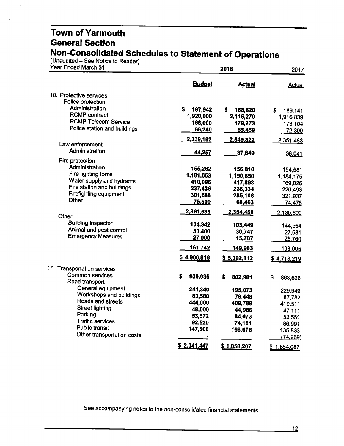(Unaudited - See Notice to Reader)

| Year Ended March 31               |                      | 2018               |                   |  |
|-----------------------------------|----------------------|--------------------|-------------------|--|
|                                   | <b>Budget</b>        | <b>Actual</b>      | Actual            |  |
| 10. Protective services           |                      |                    |                   |  |
| Police protection                 |                      |                    |                   |  |
| Administration                    | s<br>187,942         | S<br>188,820       | \$<br>189,141     |  |
| <b>RCMP</b> contract              | 1,920,000            | 2,116,270          | 1,916,839         |  |
| <b>RCMP Telecom Service</b>       | 165,000              | 179,273            | 173,104           |  |
| Police station and buildings      | 66,240               | 65,459             | 72,399            |  |
| Law enforcement                   | 2,339,182            | 2,549,822          | 2,351,483         |  |
| Administration                    |                      |                    |                   |  |
|                                   | 44,257               | 37,849             | 38,041            |  |
| Fire protection<br>Administration |                      |                    |                   |  |
| Fire fighting force               | 155,262              | 156,810            | 154,581           |  |
| Water supply and hydrants         | 1,181,653<br>410,096 | 1,190,850          | 1,184,175         |  |
| Fire station and buildings        | 237,436              | 417,893            | 169,026           |  |
| Firefighting equipment            | 301,688              | 235,334<br>285,108 | 226,493           |  |
| Other                             | 75,500               | 68,463             | 321,937<br>74,478 |  |
|                                   |                      |                    |                   |  |
| Other                             | 2,361,635            | 2,354,458          | 2,130,690         |  |
| <b>Building inspector</b>         | 104,342              | 103,449            | 144,564           |  |
| Animal and pest control           | 30,400               | 30,747             | 27,681            |  |
| <b>Emergency Measures</b>         | 27,000               | <u>15,787</u>      | 25,760            |  |
|                                   | 161,742              | 149,983            | 198,005           |  |
|                                   | \$4,906,816          | \$5,092,112        | \$4.718,219       |  |
| 11. Transportation services       |                      |                    |                   |  |
| Common services                   | S<br>930,935         | S<br>802,981       | \$<br>868,628     |  |
| Road transport                    |                      |                    |                   |  |
| General equipment                 | 241,340              | 195,073            | 229,949           |  |
| Workshops and buildings           | 83,580               | 78,448             | 87,782            |  |
| Roads and streets                 | 444,000              | 409,789            | 419,511           |  |
| <b>Street lighting</b>            | 48,000               | 44,986             | 47,111            |  |
| Parking                           | 53,572               | 84,073             | 52,551            |  |
| <b>Traffic services</b>           | 92,520               | 74,181             | 86,991            |  |
| Public transit                    | 147,500              | 168,676            | 135,833           |  |
| Other transportation costs        |                      |                    | (74, 269)         |  |
|                                   | \$2,041,447          | \$1,858,207        | \$1,854,087       |  |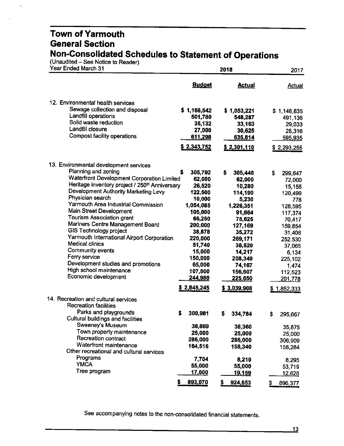(Unaudited - See Notice to Reader)

 $\overline{\phantom{a}}$ 

| <b>Budget</b><br><b>Actual</b><br><b>Actual</b><br>12. Environmental health services<br>Sewage collection and disposal<br>\$1,168,542<br>\$1,053,221<br>\$1,148,835<br>Landfill operations<br>501,780<br>548,287<br>491,136<br>Solid waste reduction<br>35,132<br>33,163<br>29,033<br>Landfill closure<br>27,000<br>30,625<br>28,316<br><b>Compost facility operations</b><br>611,298<br>635,814<br>595,935<br>\$2,343,752<br>\$2,301,110<br>\$2,293,255<br>13. Environmental development services<br>Planning and zoning<br>\$<br>305,792<br>\$<br>305,446<br>\$<br>299,647<br>Waterfront Development Corporation Limited<br>62,000<br>62,000<br>72,000<br>Heritage inventory project / 250 <sup>th</sup> Anniversary<br>26,520<br>10,280<br>15,155<br>Development Authority Marketing Levy<br>122,500<br>114,190<br>120,499<br>Physician search<br>10,000<br>5,230<br>778<br>Yarmouth Area Industrial Commission<br>1,054,085<br>1,226,351<br>128,595<br>Main Street Development<br>105,000<br>91,664<br>117,374<br>Tourism Association grant<br>66,250<br>75,625<br>70,417<br>Mariners Centre Management Board<br>200,000<br>127,169<br>159,854<br><b>GIS Technology project</b><br>38,878<br>35,272<br>31,408<br>Yarmouth International Airport Corporation<br>220,000<br>269,171<br>252,530<br>Medical clinics<br>51,740<br>38,520<br>37,065<br>Community events<br>15,000<br>14,217<br>6,134<br>Ferry service<br>150,000<br>208,349<br>225,102<br>Development studies and promotions<br>65,000<br>74,167<br>1,474<br>High school maintenance<br>107,500<br>156,607<br>112,523<br>Economic development<br>244,980<br>225,650<br>201,778<br>\$2,845,245<br>\$3,039,908<br>\$1,852,333<br>14. Recreation and cultural services<br><b>Recreation facilities</b><br>Parks and playgrounds<br>300,981<br>Б<br>S<br>334,784<br>S<br>295,667<br>Cultural buildings and facilities<br>Sweeney's Museum<br>36,869<br>38,360<br>35,875<br>Town property maintenance<br>25,000<br>25,000<br>25,000<br>Recreation contract<br>286,000<br>286,000<br>306,909<br>Waterfront maintenance<br>164,516<br>158,340<br>158,284<br>Other recreational and cultural services<br>Programs<br>7,704<br>8,210<br>8,295<br><b>YMCA</b><br>55,000<br>55,000<br>53,719<br>Tree program<br>17,000<br><u> 19,159</u><br>12,628<br>893,070<br>924,853<br>5<br>S.<br>\$<br>896,377 | Year Ended March 31 | 2018 |  |  |
|---------------------------------------------------------------------------------------------------------------------------------------------------------------------------------------------------------------------------------------------------------------------------------------------------------------------------------------------------------------------------------------------------------------------------------------------------------------------------------------------------------------------------------------------------------------------------------------------------------------------------------------------------------------------------------------------------------------------------------------------------------------------------------------------------------------------------------------------------------------------------------------------------------------------------------------------------------------------------------------------------------------------------------------------------------------------------------------------------------------------------------------------------------------------------------------------------------------------------------------------------------------------------------------------------------------------------------------------------------------------------------------------------------------------------------------------------------------------------------------------------------------------------------------------------------------------------------------------------------------------------------------------------------------------------------------------------------------------------------------------------------------------------------------------------------------------------------------------------------------------------------------------------------------------------------------------------------------------------------------------------------------------------------------------------------------------------------------------------------------------------------------------------------------------------------------------------------------------------------------------------------------------------------------------------------------------------------------------------------|---------------------|------|--|--|
|                                                                                                                                                                                                                                                                                                                                                                                                                                                                                                                                                                                                                                                                                                                                                                                                                                                                                                                                                                                                                                                                                                                                                                                                                                                                                                                                                                                                                                                                                                                                                                                                                                                                                                                                                                                                                                                                                                                                                                                                                                                                                                                                                                                                                                                                                                                                                         |                     |      |  |  |
|                                                                                                                                                                                                                                                                                                                                                                                                                                                                                                                                                                                                                                                                                                                                                                                                                                                                                                                                                                                                                                                                                                                                                                                                                                                                                                                                                                                                                                                                                                                                                                                                                                                                                                                                                                                                                                                                                                                                                                                                                                                                                                                                                                                                                                                                                                                                                         |                     |      |  |  |
|                                                                                                                                                                                                                                                                                                                                                                                                                                                                                                                                                                                                                                                                                                                                                                                                                                                                                                                                                                                                                                                                                                                                                                                                                                                                                                                                                                                                                                                                                                                                                                                                                                                                                                                                                                                                                                                                                                                                                                                                                                                                                                                                                                                                                                                                                                                                                         |                     |      |  |  |
|                                                                                                                                                                                                                                                                                                                                                                                                                                                                                                                                                                                                                                                                                                                                                                                                                                                                                                                                                                                                                                                                                                                                                                                                                                                                                                                                                                                                                                                                                                                                                                                                                                                                                                                                                                                                                                                                                                                                                                                                                                                                                                                                                                                                                                                                                                                                                         |                     |      |  |  |
|                                                                                                                                                                                                                                                                                                                                                                                                                                                                                                                                                                                                                                                                                                                                                                                                                                                                                                                                                                                                                                                                                                                                                                                                                                                                                                                                                                                                                                                                                                                                                                                                                                                                                                                                                                                                                                                                                                                                                                                                                                                                                                                                                                                                                                                                                                                                                         |                     |      |  |  |
|                                                                                                                                                                                                                                                                                                                                                                                                                                                                                                                                                                                                                                                                                                                                                                                                                                                                                                                                                                                                                                                                                                                                                                                                                                                                                                                                                                                                                                                                                                                                                                                                                                                                                                                                                                                                                                                                                                                                                                                                                                                                                                                                                                                                                                                                                                                                                         |                     |      |  |  |
|                                                                                                                                                                                                                                                                                                                                                                                                                                                                                                                                                                                                                                                                                                                                                                                                                                                                                                                                                                                                                                                                                                                                                                                                                                                                                                                                                                                                                                                                                                                                                                                                                                                                                                                                                                                                                                                                                                                                                                                                                                                                                                                                                                                                                                                                                                                                                         |                     |      |  |  |
|                                                                                                                                                                                                                                                                                                                                                                                                                                                                                                                                                                                                                                                                                                                                                                                                                                                                                                                                                                                                                                                                                                                                                                                                                                                                                                                                                                                                                                                                                                                                                                                                                                                                                                                                                                                                                                                                                                                                                                                                                                                                                                                                                                                                                                                                                                                                                         |                     |      |  |  |
|                                                                                                                                                                                                                                                                                                                                                                                                                                                                                                                                                                                                                                                                                                                                                                                                                                                                                                                                                                                                                                                                                                                                                                                                                                                                                                                                                                                                                                                                                                                                                                                                                                                                                                                                                                                                                                                                                                                                                                                                                                                                                                                                                                                                                                                                                                                                                         |                     |      |  |  |
|                                                                                                                                                                                                                                                                                                                                                                                                                                                                                                                                                                                                                                                                                                                                                                                                                                                                                                                                                                                                                                                                                                                                                                                                                                                                                                                                                                                                                                                                                                                                                                                                                                                                                                                                                                                                                                                                                                                                                                                                                                                                                                                                                                                                                                                                                                                                                         |                     |      |  |  |
|                                                                                                                                                                                                                                                                                                                                                                                                                                                                                                                                                                                                                                                                                                                                                                                                                                                                                                                                                                                                                                                                                                                                                                                                                                                                                                                                                                                                                                                                                                                                                                                                                                                                                                                                                                                                                                                                                                                                                                                                                                                                                                                                                                                                                                                                                                                                                         |                     |      |  |  |
|                                                                                                                                                                                                                                                                                                                                                                                                                                                                                                                                                                                                                                                                                                                                                                                                                                                                                                                                                                                                                                                                                                                                                                                                                                                                                                                                                                                                                                                                                                                                                                                                                                                                                                                                                                                                                                                                                                                                                                                                                                                                                                                                                                                                                                                                                                                                                         |                     |      |  |  |
|                                                                                                                                                                                                                                                                                                                                                                                                                                                                                                                                                                                                                                                                                                                                                                                                                                                                                                                                                                                                                                                                                                                                                                                                                                                                                                                                                                                                                                                                                                                                                                                                                                                                                                                                                                                                                                                                                                                                                                                                                                                                                                                                                                                                                                                                                                                                                         |                     |      |  |  |
|                                                                                                                                                                                                                                                                                                                                                                                                                                                                                                                                                                                                                                                                                                                                                                                                                                                                                                                                                                                                                                                                                                                                                                                                                                                                                                                                                                                                                                                                                                                                                                                                                                                                                                                                                                                                                                                                                                                                                                                                                                                                                                                                                                                                                                                                                                                                                         |                     |      |  |  |
|                                                                                                                                                                                                                                                                                                                                                                                                                                                                                                                                                                                                                                                                                                                                                                                                                                                                                                                                                                                                                                                                                                                                                                                                                                                                                                                                                                                                                                                                                                                                                                                                                                                                                                                                                                                                                                                                                                                                                                                                                                                                                                                                                                                                                                                                                                                                                         |                     |      |  |  |
|                                                                                                                                                                                                                                                                                                                                                                                                                                                                                                                                                                                                                                                                                                                                                                                                                                                                                                                                                                                                                                                                                                                                                                                                                                                                                                                                                                                                                                                                                                                                                                                                                                                                                                                                                                                                                                                                                                                                                                                                                                                                                                                                                                                                                                                                                                                                                         |                     |      |  |  |
|                                                                                                                                                                                                                                                                                                                                                                                                                                                                                                                                                                                                                                                                                                                                                                                                                                                                                                                                                                                                                                                                                                                                                                                                                                                                                                                                                                                                                                                                                                                                                                                                                                                                                                                                                                                                                                                                                                                                                                                                                                                                                                                                                                                                                                                                                                                                                         |                     |      |  |  |
|                                                                                                                                                                                                                                                                                                                                                                                                                                                                                                                                                                                                                                                                                                                                                                                                                                                                                                                                                                                                                                                                                                                                                                                                                                                                                                                                                                                                                                                                                                                                                                                                                                                                                                                                                                                                                                                                                                                                                                                                                                                                                                                                                                                                                                                                                                                                                         |                     |      |  |  |
|                                                                                                                                                                                                                                                                                                                                                                                                                                                                                                                                                                                                                                                                                                                                                                                                                                                                                                                                                                                                                                                                                                                                                                                                                                                                                                                                                                                                                                                                                                                                                                                                                                                                                                                                                                                                                                                                                                                                                                                                                                                                                                                                                                                                                                                                                                                                                         |                     |      |  |  |
|                                                                                                                                                                                                                                                                                                                                                                                                                                                                                                                                                                                                                                                                                                                                                                                                                                                                                                                                                                                                                                                                                                                                                                                                                                                                                                                                                                                                                                                                                                                                                                                                                                                                                                                                                                                                                                                                                                                                                                                                                                                                                                                                                                                                                                                                                                                                                         |                     |      |  |  |
|                                                                                                                                                                                                                                                                                                                                                                                                                                                                                                                                                                                                                                                                                                                                                                                                                                                                                                                                                                                                                                                                                                                                                                                                                                                                                                                                                                                                                                                                                                                                                                                                                                                                                                                                                                                                                                                                                                                                                                                                                                                                                                                                                                                                                                                                                                                                                         |                     |      |  |  |
|                                                                                                                                                                                                                                                                                                                                                                                                                                                                                                                                                                                                                                                                                                                                                                                                                                                                                                                                                                                                                                                                                                                                                                                                                                                                                                                                                                                                                                                                                                                                                                                                                                                                                                                                                                                                                                                                                                                                                                                                                                                                                                                                                                                                                                                                                                                                                         |                     |      |  |  |
|                                                                                                                                                                                                                                                                                                                                                                                                                                                                                                                                                                                                                                                                                                                                                                                                                                                                                                                                                                                                                                                                                                                                                                                                                                                                                                                                                                                                                                                                                                                                                                                                                                                                                                                                                                                                                                                                                                                                                                                                                                                                                                                                                                                                                                                                                                                                                         |                     |      |  |  |
|                                                                                                                                                                                                                                                                                                                                                                                                                                                                                                                                                                                                                                                                                                                                                                                                                                                                                                                                                                                                                                                                                                                                                                                                                                                                                                                                                                                                                                                                                                                                                                                                                                                                                                                                                                                                                                                                                                                                                                                                                                                                                                                                                                                                                                                                                                                                                         |                     |      |  |  |
|                                                                                                                                                                                                                                                                                                                                                                                                                                                                                                                                                                                                                                                                                                                                                                                                                                                                                                                                                                                                                                                                                                                                                                                                                                                                                                                                                                                                                                                                                                                                                                                                                                                                                                                                                                                                                                                                                                                                                                                                                                                                                                                                                                                                                                                                                                                                                         |                     |      |  |  |
|                                                                                                                                                                                                                                                                                                                                                                                                                                                                                                                                                                                                                                                                                                                                                                                                                                                                                                                                                                                                                                                                                                                                                                                                                                                                                                                                                                                                                                                                                                                                                                                                                                                                                                                                                                                                                                                                                                                                                                                                                                                                                                                                                                                                                                                                                                                                                         |                     |      |  |  |
|                                                                                                                                                                                                                                                                                                                                                                                                                                                                                                                                                                                                                                                                                                                                                                                                                                                                                                                                                                                                                                                                                                                                                                                                                                                                                                                                                                                                                                                                                                                                                                                                                                                                                                                                                                                                                                                                                                                                                                                                                                                                                                                                                                                                                                                                                                                                                         |                     |      |  |  |
|                                                                                                                                                                                                                                                                                                                                                                                                                                                                                                                                                                                                                                                                                                                                                                                                                                                                                                                                                                                                                                                                                                                                                                                                                                                                                                                                                                                                                                                                                                                                                                                                                                                                                                                                                                                                                                                                                                                                                                                                                                                                                                                                                                                                                                                                                                                                                         |                     |      |  |  |
|                                                                                                                                                                                                                                                                                                                                                                                                                                                                                                                                                                                                                                                                                                                                                                                                                                                                                                                                                                                                                                                                                                                                                                                                                                                                                                                                                                                                                                                                                                                                                                                                                                                                                                                                                                                                                                                                                                                                                                                                                                                                                                                                                                                                                                                                                                                                                         |                     |      |  |  |
|                                                                                                                                                                                                                                                                                                                                                                                                                                                                                                                                                                                                                                                                                                                                                                                                                                                                                                                                                                                                                                                                                                                                                                                                                                                                                                                                                                                                                                                                                                                                                                                                                                                                                                                                                                                                                                                                                                                                                                                                                                                                                                                                                                                                                                                                                                                                                         |                     |      |  |  |
|                                                                                                                                                                                                                                                                                                                                                                                                                                                                                                                                                                                                                                                                                                                                                                                                                                                                                                                                                                                                                                                                                                                                                                                                                                                                                                                                                                                                                                                                                                                                                                                                                                                                                                                                                                                                                                                                                                                                                                                                                                                                                                                                                                                                                                                                                                                                                         |                     |      |  |  |
|                                                                                                                                                                                                                                                                                                                                                                                                                                                                                                                                                                                                                                                                                                                                                                                                                                                                                                                                                                                                                                                                                                                                                                                                                                                                                                                                                                                                                                                                                                                                                                                                                                                                                                                                                                                                                                                                                                                                                                                                                                                                                                                                                                                                                                                                                                                                                         |                     |      |  |  |
|                                                                                                                                                                                                                                                                                                                                                                                                                                                                                                                                                                                                                                                                                                                                                                                                                                                                                                                                                                                                                                                                                                                                                                                                                                                                                                                                                                                                                                                                                                                                                                                                                                                                                                                                                                                                                                                                                                                                                                                                                                                                                                                                                                                                                                                                                                                                                         |                     |      |  |  |
|                                                                                                                                                                                                                                                                                                                                                                                                                                                                                                                                                                                                                                                                                                                                                                                                                                                                                                                                                                                                                                                                                                                                                                                                                                                                                                                                                                                                                                                                                                                                                                                                                                                                                                                                                                                                                                                                                                                                                                                                                                                                                                                                                                                                                                                                                                                                                         |                     |      |  |  |
|                                                                                                                                                                                                                                                                                                                                                                                                                                                                                                                                                                                                                                                                                                                                                                                                                                                                                                                                                                                                                                                                                                                                                                                                                                                                                                                                                                                                                                                                                                                                                                                                                                                                                                                                                                                                                                                                                                                                                                                                                                                                                                                                                                                                                                                                                                                                                         |                     |      |  |  |
|                                                                                                                                                                                                                                                                                                                                                                                                                                                                                                                                                                                                                                                                                                                                                                                                                                                                                                                                                                                                                                                                                                                                                                                                                                                                                                                                                                                                                                                                                                                                                                                                                                                                                                                                                                                                                                                                                                                                                                                                                                                                                                                                                                                                                                                                                                                                                         |                     |      |  |  |
|                                                                                                                                                                                                                                                                                                                                                                                                                                                                                                                                                                                                                                                                                                                                                                                                                                                                                                                                                                                                                                                                                                                                                                                                                                                                                                                                                                                                                                                                                                                                                                                                                                                                                                                                                                                                                                                                                                                                                                                                                                                                                                                                                                                                                                                                                                                                                         |                     |      |  |  |
|                                                                                                                                                                                                                                                                                                                                                                                                                                                                                                                                                                                                                                                                                                                                                                                                                                                                                                                                                                                                                                                                                                                                                                                                                                                                                                                                                                                                                                                                                                                                                                                                                                                                                                                                                                                                                                                                                                                                                                                                                                                                                                                                                                                                                                                                                                                                                         |                     |      |  |  |
|                                                                                                                                                                                                                                                                                                                                                                                                                                                                                                                                                                                                                                                                                                                                                                                                                                                                                                                                                                                                                                                                                                                                                                                                                                                                                                                                                                                                                                                                                                                                                                                                                                                                                                                                                                                                                                                                                                                                                                                                                                                                                                                                                                                                                                                                                                                                                         |                     |      |  |  |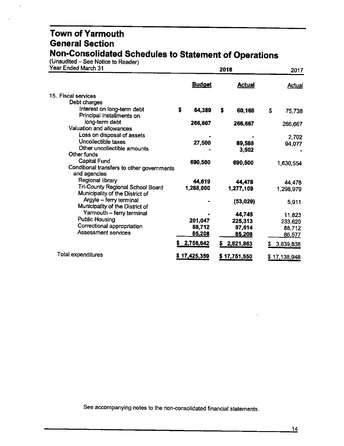(Unaudited - See Notice to Reader)

 $\ddot{\phantom{a}}$ 

| Year Ended March 31                                        |               | 2017            |                |
|------------------------------------------------------------|---------------|-----------------|----------------|
|                                                            | <b>Budget</b> | <b>Actual</b>   | <b>Actual</b>  |
| 15. Fiscal services                                        |               |                 |                |
| Debt charges                                               |               |                 |                |
| Interest on long-term debt                                 | \$<br>64,389  | \$<br>60,168    | \$<br>75,738   |
| Principal installments on                                  |               |                 |                |
| long-term debt                                             | 266,667       | 266,667         | 266,667        |
| Valuation and allowances                                   |               |                 |                |
| Loss on disposal of assets                                 |               |                 | 2,702          |
| Uncollectible taxes                                        | 27,500        | 89,588          | 94,077         |
| Other uncollectible amounts                                |               | 3,502           |                |
| Other funds                                                |               |                 |                |
| <b>Capital Fund</b>                                        | 690,500       | 690,500         | 1,630,554      |
| Conditional transfers to other governments                 |               |                 |                |
| and agencies                                               |               |                 |                |
| Regional library                                           | 44,619        | 44,478          | 44,478         |
| Tri-County Regional School Board                           | 1,288,000     | 1,277,109       | 1,298,979      |
| Municipality of the District of                            |               |                 |                |
| Argyle - ferry terminal<br>Municipality of the District of |               | (53,029)        | 5,911          |
| Yarmouth - ferry terminal                                  |               |                 |                |
| <b>Public Housing</b>                                      | 201,047       | 44,745          | 11,823         |
| Correctional appropriation                                 | 88,712        | 225,313         | 233,620        |
| Assessment services                                        | 85,208        | 87,614          | 88,712         |
|                                                            |               | <u>85,208</u>   | 86,577         |
|                                                            | 2,756,642     | 2,821,863<br>s. | 3,839,838<br>S |
| Total expenditures                                         | \$17,425,359  | \$17,751,550    | \$17,138,948   |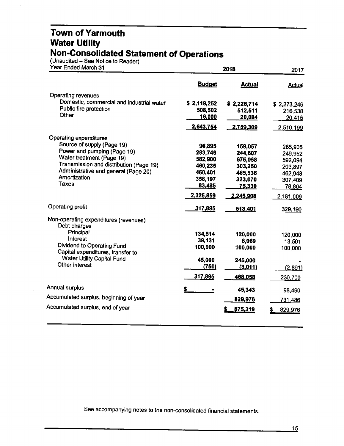#### **Town of Yarmouth Water Utility Non-Consolidated Statement of Operations**

(Unaudited -- See Notice to Reader)

| Year Ended March 31 |  |  |  |
|---------------------|--|--|--|

| Year Ended March 31                                             |               | 2017          |               |
|-----------------------------------------------------------------|---------------|---------------|---------------|
|                                                                 | <b>Budget</b> | <b>Actual</b> | <b>Actual</b> |
| Operating revenues                                              |               |               |               |
| Domestic, commercial and industrial water                       | \$2,119,252   | \$2,226,714   | \$2,273,246   |
| Public fire protection                                          | 508,502       | 512,511       | 216,538       |
| Other                                                           | <u>16,000</u> | 20,084        | 20,415        |
|                                                                 | 2,643,754     | 2,759,309     | 2,510,199     |
| <b>Operating expenditures</b>                                   |               |               |               |
| Source of supply (Page 19)                                      | 96,895        | 159,057       | 285,905       |
| Power and pumping (Page 19)                                     | 283,746       | 244,607       | 249,952       |
| Water treatment (Page 19)                                       | 582,900       | 675,058       | 592,094       |
| Transmission and distribution (Page 19)                         | 460,235       | 303,250       | 203,897       |
| Administrative and general (Page 20)<br>Amortization            | 460,401       | 465,536       | 462,948       |
| Taxes                                                           | 358,197       | 323,070       | 307,409       |
|                                                                 | 83,485        | 75,330        | 78,804        |
|                                                                 | 2,325,859     | 2,245,908     | 2,181,009     |
| <b>Operating profit</b>                                         | 317,895       | 513,401       | 329,190       |
| Non-operating expenditures (revenues)<br>Debt charges           |               |               |               |
| Principal                                                       | 134,514       | 120,000       | 120,000       |
| Interest                                                        | 39,131        | 6,069         | 13,591        |
| Dividend to Operating Fund<br>Capital expenditures, transfer to | 100,000       | 100,000       | 100,000       |
| <b>Water Utility Capital Fund</b>                               | 45,000        | 245,000       |               |
| Other interest                                                  | (750)         | (3,011)       | (2,891)       |
|                                                                 | 317,895       | 468,058       | 230,700       |
| Annual surplus                                                  |               | 45,343        | 98,490        |
| Accumulated surplus, beginning of year                          |               | 829,976       | 731,486       |
| Accumulated surplus, end of year                                |               | 875,319       | 829,976       |
|                                                                 |               |               |               |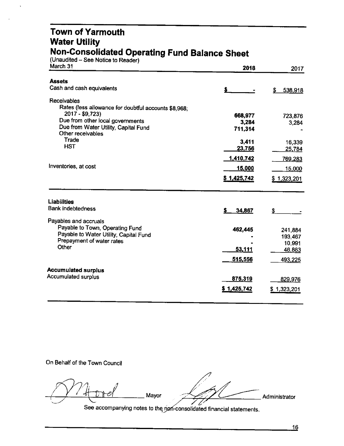#### **Town of Yarmouth Water Utility Non-Consolidated Operating Fund Balance Sheet**

(Unaudited – See Notice to Reader)

| March 31                                                            | 2018          | 2017          |
|---------------------------------------------------------------------|---------------|---------------|
| <b>Assets</b>                                                       |               |               |
| Cash and cash equivalents                                           |               | \$<br>538,918 |
| <b>Receivables</b>                                                  |               |               |
| Rates (less allowance for doubtful accounts \$8,968;                |               |               |
| 2017 - \$9,723)                                                     | 668,977       | 723,876       |
| Due from other local governments                                    | 3,284         | 3,284         |
| Due from Water Utility, Capital Fund                                | 711,314       |               |
| Other receivables<br>Trade                                          |               |               |
| <b>HST</b>                                                          | 3,411         | 16,339        |
|                                                                     | 23,756        | 25,784        |
|                                                                     | 1,410,742     | 769,283       |
| Inventories, at cost                                                | <u>15,000</u> | 15,000        |
|                                                                     | \$1,425,742   | \$1,323,201   |
| <b>Liabilities</b>                                                  |               |               |
| <b>Bank indebtedness</b>                                            | 34,867<br>S.  | \$            |
|                                                                     |               |               |
| Payables and accruals                                               |               |               |
| Payable to Town, Operating Fund                                     | 462,445       | 241,884       |
| Payable to Water Utility, Capital Fund<br>Prepayment of water rates |               | 193,467       |
| Other                                                               |               | 10,991        |
|                                                                     | <u>53,111</u> | 46,883        |
|                                                                     | 515,556       | 493,225       |
| <b>Accumulated surplus</b>                                          |               |               |
| <b>Accumulated surplus</b>                                          | 875,319       | 829,976       |
|                                                                     | \$1,425,742   |               |
|                                                                     |               | \$1,323,201   |
|                                                                     |               |               |

On Behalf of the Town Council

Mayor

Administrator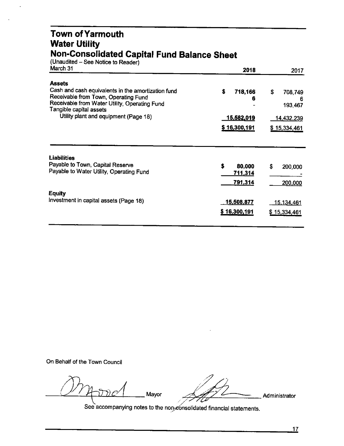#### **Town of Yarmouth Water Utility Non-Consolidated Capital Fund Balance Sheet**

| (Unaudited – See Notice to Reader)                                                                                                                                     |                    |                               |
|------------------------------------------------------------------------------------------------------------------------------------------------------------------------|--------------------|-------------------------------|
| March 31                                                                                                                                                               | 2018               | 2017                          |
| <b>Assets</b>                                                                                                                                                          |                    |                               |
| Cash and cash equivalents in the amortization fund<br>Receivable from Town, Operating Fund<br>Receivable from Water Utility, Operating Fund<br>Tangible capital assets | \$<br>718,166<br>6 | \$<br>708,749<br>6<br>193,467 |
| Utility plant and equipment (Page 18)                                                                                                                                  | <u>15,582,019</u>  | <u>14,432,239</u>             |
|                                                                                                                                                                        | \$16,300,191       | \$15,334,461                  |
| <b>Liabilities</b>                                                                                                                                                     |                    |                               |
| Payable to Town, Capital Reserve                                                                                                                                       | \$<br>80,000       | \$<br>200,000                 |
| Payable to Water Utility, Operating Fund                                                                                                                               | 711,314            |                               |
|                                                                                                                                                                        | 791,314            | 200,000                       |
| <b>Equity</b>                                                                                                                                                          |                    |                               |
| Investment in capital assets (Page 18)                                                                                                                                 | <u>15,508,877</u>  | 15,134,461                    |
|                                                                                                                                                                        | \$16,300,191       | <u>\$15,334,461</u>           |
|                                                                                                                                                                        |                    |                               |

On Behalf of the Town Council

Mood was left

 $\mathscr{A}$  Mayor  $\mathscr{A}$  Mayor  $\mathscr{A}$  Administrator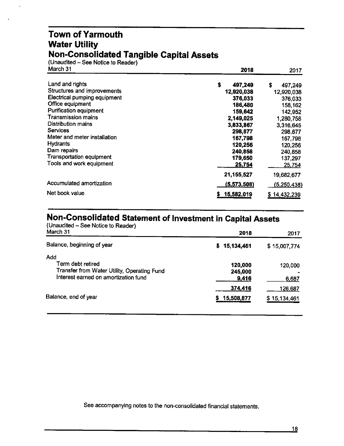#### **Town of Yarmouth Water Utility Non-Consolidated Tangible Capital Assets**

(Unaudited - See Notice to Reader)

| March 31                        | 2018          | 2017         |
|---------------------------------|---------------|--------------|
| Land and rights                 | \$<br>497,249 | S<br>497,249 |
| Structures and improvements     | 12,920,038    | 12,920,038   |
| Electrical pumping equipment    | 376,033       | 376,033      |
| Office equipment                | 186,480       | 158,162      |
| <b>Purification equipment</b>   | 159,642       | 142,952      |
| <b>Transmission mains</b>       | 2,149,025     | 1,280,758    |
| Distribution mains              | 3,833,867     | 3,316,645    |
| <b>Services</b>                 | 298,877       | 298,877      |
| Meter and meter installation    | 167,798       | 167,798      |
| <b>Hydrants</b>                 | 120,256       | 120,256      |
| Dam repairs                     | 240,858       | 240,858      |
| <b>Transportation equipment</b> | 179,650       | 137,297      |
| Tools and work equipment        | 25,754        | 25,754       |
|                                 | 21,155,527    | 19,682,677   |
| Accumulated amortization        | (5,573,508)   | (5,250,438)  |
| Net book value                  | 15,582,019    | \$14,432,239 |

#### **Non-Consolidated Statement of Investment in Capital Assets**

| (Unaudited - See Notice to Reader)<br>March 31                                                                  | 2018                        | 2017                    |
|-----------------------------------------------------------------------------------------------------------------|-----------------------------|-------------------------|
| Balance, beginning of year                                                                                      | 15,134,461<br>S.            | \$15,007,774            |
| Add<br>Term debt retired<br>Transfer from Water Utility, Operating Fund<br>Interest earned on amortization fund | 120,000<br>245,000<br>9,416 | 120,000<br>6,687        |
| Balance, end of year                                                                                            | 374,416<br>15,508,877       | 126,687<br>\$15,134,461 |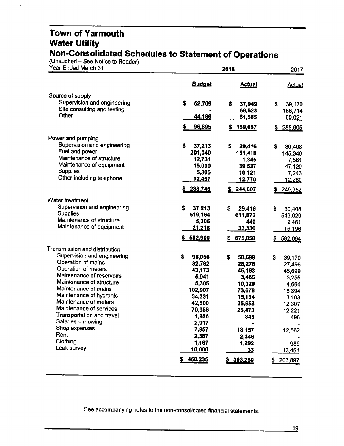#### **Town of Yarmouth Water Utility Non-Consolidated Schedules to Statement of Operations**

(Unaudited – See Notice to Reader

 $\ddot{\phantom{a}}$ 

| Year Ended March 31                              |                | 2017            |                 |
|--------------------------------------------------|----------------|-----------------|-----------------|
|                                                  | <b>Budget</b>  | <b>Actual</b>   | <u>Actual</u>   |
| Source of supply                                 |                |                 |                 |
| Supervision and engineering                      | \$<br>52,709   | \$<br>37,949    | \$<br>39,170    |
| Site consulting and testing                      |                | 69,523          | 186,714         |
| Other                                            | 44,186         | 51,585          | 60,021          |
|                                                  | \$<br>96,895   | 159,057         | 285,905         |
| Power and pumping                                |                |                 |                 |
| Supervision and engineering                      | s<br>37,213    | s<br>29,416     | S<br>30,408     |
| Fuel and power                                   | 201,040        | 151,418         | 145,340         |
| Maintenance of structure                         | 12,731         | 1,345           | 7,561           |
| Maintenance of equipment                         | 15,000         | 39,537          | 47,120          |
| <b>Supplies</b>                                  | 5,305          | 10,121          | 7,243           |
| Other including telephone                        | <u>12,457</u>  | 12,770          | 12,280          |
|                                                  | 283,746        | 244,607         | 249,952         |
| Water treatment                                  |                |                 |                 |
| Supervision and engineering                      | \$<br>37,213   | \$<br>29,416    | \$<br>30,408    |
| <b>Supplies</b>                                  | 519,164        | 611,872         | 543,029         |
| Maintenance of structure                         | 5,305          | 440             | 2,461           |
| Maintenance of equipment                         | <u>21,218</u>  | 33,330          | <u>16,196</u>   |
|                                                  | 582,900        | 675,058         | \$592,094       |
| Transmission and distribution                    |                |                 |                 |
| Supervision and engineering                      | \$<br>96,056   | \$<br>58,699    | \$<br>39,170    |
| Operation of mains                               | 32,782         | 28,278          | 27,496          |
| Operation of meters                              | 43,173         | 45,163          | 45,699          |
| Maintenance of reservoirs                        | 5,941          | 3,465           | 3,255           |
| Maintenance of structure                         | 5,305          | 10,029          | 4,664           |
| Maintenance of mains                             | 102,907        | 73,678          | 18,394          |
| Maintenance of hydrants<br>Maintenance of meters | 34,331         | 15,134          | 13,193          |
| Maintenance of services                          | 42,500         | 25,658          | 12,307          |
| Transportation and travel                        | 70,956         | 25,473          | 12,221          |
| Salaries - mowing                                | 1,856<br>2,917 | 845             | 496             |
| Shop expenses                                    | 7,957          | 13,157          |                 |
| Rent                                             | 2,387          | 2,346           | 12,562          |
| Clothing                                         | 1,167          | 1,292           | 989             |
| Leak survey                                      | <u> 10,000</u> | $\overline{33}$ | <u> 13.451 </u> |
|                                                  | \$460,235      | \$ 303,250      | 203,897         |
|                                                  |                |                 |                 |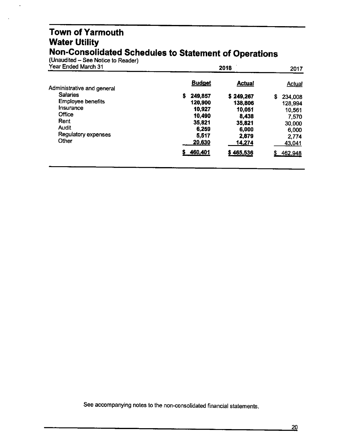#### **Town of Yarmouth Water Utility Non-Consolidated Schedules to Statement of Operations**

(Unaudited – See Notice to Reader)

÷,

| Year Ended March 31        |               | 2018          | 2017          |
|----------------------------|---------------|---------------|---------------|
| Administrative and general | <b>Budget</b> | <b>Actual</b> | <b>Actual</b> |
| <b>Salaries</b>            | 249,857<br>s  | \$249,267     | S<br>234,008  |
| <b>Employee benefits</b>   | 120,900       | 138,806       | 128,994       |
| Insurance                  | 10,927        | 10,051        | 10.561        |
| Office                     | 10,490        | 8,438         | 7,570         |
| Rent                       | 35,821        | 35,821        | 30,000        |
| Audit                      | 6,259         | 6,000         | 6,000         |
| <b>Regulatory expenses</b> | 5,517         | 2,879         | 2,774         |
| Other                      | 20,630        | <u>14,274</u> | 43,041        |
|                            | 460,401       | \$465,536     | 462,948<br>S. |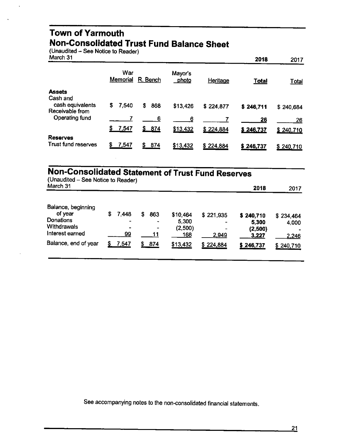#### **Town of Yarmouth Non-Consolidated Trust Fund Balance Sheet**

 $($ Unaudited – See Notice to Reader)

| March 31                                      |                      |          |                         |           | 2018         | 2017         |
|-----------------------------------------------|----------------------|----------|-------------------------|-----------|--------------|--------------|
|                                               | War<br>Memorial      | R. Bench | Mayor's<br><u>photo</u> | Heritage  | <b>Total</b> | <b>Total</b> |
| <b>Assets</b>                                 |                      |          |                         |           |              |              |
| Cash and                                      |                      |          |                         |           |              |              |
| cash equivalents                              | 7,540<br>S.          | S<br>868 | \$13,426                | \$224,877 | \$246,711    | \$240,684    |
| Receivable from                               |                      |          |                         |           |              |              |
| Operating fund                                |                      | 6        | 6                       |           | 26           | 26           |
|                                               | <u>7,5</u> 47<br>-SI | \$ 874   | \$13,432                | \$224,884 | \$246,737    | \$240,710    |
|                                               |                      |          |                         |           |              |              |
| <b>Reserves</b><br><b>Trust fund reserves</b> | 7,547<br>S           | S.       |                         |           |              |              |
|                                               |                      | 874      | \$13,432                | \$224,884 | \$246,737    | \$240,710    |

# **Non-Consolidated Statement of Trust Fund Reserves**

| (Unaudited – See Notice to Reader)<br>March 31                                                       |        |                           |   |                                   |                                                 |                                      | 2018                                                | 2017                                     |
|------------------------------------------------------------------------------------------------------|--------|---------------------------|---|-----------------------------------|-------------------------------------------------|--------------------------------------|-----------------------------------------------------|------------------------------------------|
| Balance, beginning<br>of year<br>Donations<br>Withdrawals<br>Interest earned<br>Balance, end of year | 5<br>S | 7.448<br>۰<br>99<br>7,547 | S | 863<br>$\blacksquare$<br>۰<br>874 | \$10,464<br>5,300<br>(2,500)<br>168<br>\$13,432 | \$221,935<br>-<br>2,949<br>\$224,884 | \$240,710<br>5,300<br>(2,500)<br>3,227<br>\$246,737 | \$234,464<br>4,000<br>2,246<br>\$240,710 |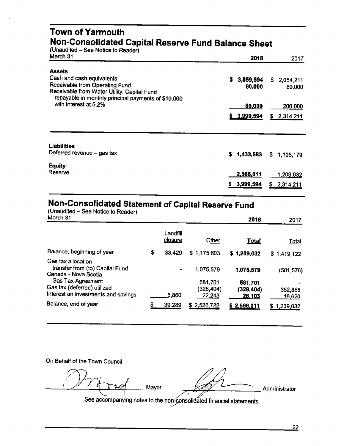#### **Town of Yarmouth Non-Consolidated Capital Reserve Fund Balance Sheet**

(Unaudited - See Notice to Reader)

| March 31                                                                      | 2018            | 2017            |
|-------------------------------------------------------------------------------|-----------------|-----------------|
| <b>Assets</b>                                                                 |                 |                 |
| Cash and cash equivalents                                                     | \$3,859,594     | S.<br>2,054,211 |
| Receivable from Operating Fund<br>Receivable from Water Utility, Capital Fund | 60,000          | 60,000          |
| repayable in monthly principal payments of \$10,000                           |                 |                 |
| with interest at 5.2%                                                         | 80,000          | 200,000         |
|                                                                               | \$3,999,594     | 2,314,211<br>\$ |
|                                                                               |                 |                 |
| <b>Liabilities</b>                                                            |                 |                 |
| Deferred revenue - gas tax                                                    | 1,433,583<br>s. | \$<br>1,105,179 |
| <b>Equity</b>                                                                 |                 |                 |
| Reserve                                                                       | 2,566,011       | 1,209,032       |
|                                                                               | 3,999,594       | S.<br>2,314,211 |
|                                                                               |                 |                 |

### **Non-Consolidated Statement of Capital Reserve Fund**

| (Unaudited – See Notice to Reader)<br>March 31          |              |             | 2018           | 2017           |
|---------------------------------------------------------|--------------|-------------|----------------|----------------|
|                                                         | Landfill     |             |                |                |
|                                                         | closure      | Other       | <b>Total</b>   | <b>Total</b>   |
| Balance, beginning of year                              | \$<br>33.429 | \$1,175,603 | \$1,209,032    | \$1,419,122    |
| Gas tax allocation -                                    |              |             |                |                |
| transfer from (to) Capital Fund<br>Canada - Nova Scotia |              | 1,075,579   | 1,075,579      | (581, 576)     |
| Gas Tax Agreement                                       |              | 581,701     | 581,701        |                |
| Gas tax (deferred) utilized                             |              | (328, 404)  | (328, 404)     | 352,866        |
| Interest on investments and savings                     | 5.860        | 22,243      | <u>28,</u> 103 | <u>18,620</u>  |
| Balance, end of year                                    | \$<br>39,289 | \$2,526,722 | \$2,566,011    | 1,209,032<br>S |

On Behalf of the Town Council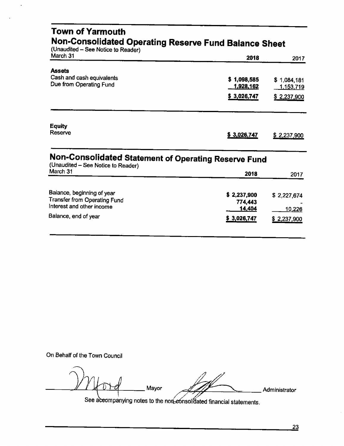| Town of Yarmouth<br>Non-Consolidated Operating Reserve Fund Balance Sheet<br>(Unaudited - See Notice to Reader) |                          |                                 |  |  |  |  |
|-----------------------------------------------------------------------------------------------------------------|--------------------------|---------------------------------|--|--|--|--|
| March 31                                                                                                        | 2018                     | 2017                            |  |  |  |  |
| <b>Assets</b><br>Cash and cash equivalents<br>Due from Operating Fund                                           | \$1,098,585<br>1,928,162 | \$1,084,181<br><u>1,153,719</u> |  |  |  |  |
|                                                                                                                 | \$3,026,747              | \$2,237,900                     |  |  |  |  |
| <b>Equity</b><br>Reserve                                                                                        | \$3,026,747              | \$2,237,900                     |  |  |  |  |
| Non-Consolidated Statement of Operating Reserve Fund<br>(Unaudited - See Notice to Reader)                      |                          |                                 |  |  |  |  |
| March 31                                                                                                        | 2018                     | 2017                            |  |  |  |  |
| Balance, beginning of year<br>Transfer from Operating Fund                                                      | \$2,237,900<br>774,443   | \$2,227,674                     |  |  |  |  |
| Interest and other income<br>Balance, end of year                                                               | 14,404<br>\$3,026,747    | 10,226<br>\$2,237,900           |  |  |  |  |

On Behalf of the Town Council

Mayor Administrator See aceompanying notes to the non-consolidated financial statements.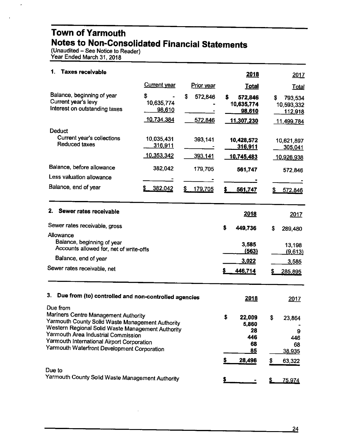#### **Town of Yarmouth Notes to Non-Consolidated Financial Statements**

(Unaudited – See Notice to Reader) Year Ended March 31, 2018

L.

| 1.<br>Taxes receivable                                                                                                                                                                                                                                                                                                                                      |                                            |                          | 2018                                                               | <u>2017</u>                                                      |
|-------------------------------------------------------------------------------------------------------------------------------------------------------------------------------------------------------------------------------------------------------------------------------------------------------------------------------------------------------------|--------------------------------------------|--------------------------|--------------------------------------------------------------------|------------------------------------------------------------------|
|                                                                                                                                                                                                                                                                                                                                                             | <b>Current year</b>                        | Prior year               | <b>Total</b>                                                       | <b>Total</b>                                                     |
| Balance, beginning of year<br>Current year's levy<br>Interest on outstanding taxes                                                                                                                                                                                                                                                                          | \$<br>10,635,774<br>98,610<br>10,734,384   | \$<br>572,846<br>572,846 | s<br>572,846<br>10,635,774<br>98,610<br><u>11,307,230</u>          | S<br>793,534<br>10,593,332<br>112,918<br>11,499,784              |
| <b>Deduct</b><br>Current year's collections<br><b>Reduced taxes</b>                                                                                                                                                                                                                                                                                         | 10,035.431<br>316,911<br><u>10,353,342</u> | 393,141<br>393,141       | 10,428,572<br>316,911<br>10,745,483                                | 10,621,897<br>305,041<br>10,926,938                              |
| Balance, before allowance<br>Less valuation allowance                                                                                                                                                                                                                                                                                                       | 382,042                                    | 179,705                  | 561,747                                                            | 572,846                                                          |
| Balance, end of year                                                                                                                                                                                                                                                                                                                                        | 382,042                                    | \$<br>179,705            | \$<br>561,747                                                      | 572,846                                                          |
| 2.<br>Sewer rates receivable<br>Sewer rates receivable, gross<br>Allowance<br>Balance, beginning of year<br>Accounts allowed for, net of write-offs<br>Balance, end of year<br>Sewer rates receivable, net                                                                                                                                                  |                                            |                          | 2018<br>\$<br>449,736<br>3,585<br><u>(563)</u><br>3,022<br>446,714 | 2017<br>\$<br>289,480<br>13,198<br>(9,613)<br>3,585<br>285,895   |
| 3.<br>Due from (to) controlled and non-controlled agencies<br>Due from<br>Mariners Centre Management Authority<br>Yarmouth County Solid Waste Management Authority<br>Western Regional Solid Waste Management Authority<br>Yarmouth Area Industrial Commission<br>Yarmouth International Airport Corporation<br>Yarmouth Waterfront Development Corporation |                                            |                          | 2018<br>\$<br>22,009<br>5.860<br>28<br>446<br>68<br>85             | <u> 2017 </u><br>\$<br>23,864<br>9<br>446<br>68<br><u>38,935</u> |
| Due to<br>Yarmouth County Solid Waste Management Authority                                                                                                                                                                                                                                                                                                  |                                            |                          | 28,496                                                             | \$<br>63,322<br>75,974                                           |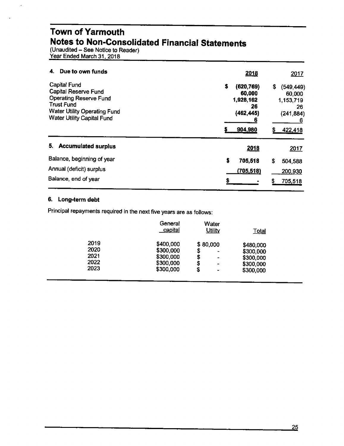#### **Town of Yarmouth Notes to Non-Consolidated Financial Statements**

(Unaudited – See Notice to Reader Year Ended March 31, 2018

| Due to own funds<br>4.                                                                                                                                                               | 2018<br>2017                                                                                                                                               |
|--------------------------------------------------------------------------------------------------------------------------------------------------------------------------------------|------------------------------------------------------------------------------------------------------------------------------------------------------------|
| <b>Capital Fund</b><br><b>Capital Reserve Fund</b><br><b>Operating Reserve Fund</b><br><b>Trust Fund</b><br><b>Water Utility Operating Fund</b><br><b>Water Utility Capital Fund</b> | \$<br>(620, 769)<br>\$<br>(549, 449)<br>60,000<br>60,000<br>1,928,162<br>1,153,719<br>26<br>26<br>(462, 445)<br>(241, 884)<br>б<br>6<br>904,980<br>422,418 |
| <b>Accumulated surplus</b><br>5.                                                                                                                                                     | 2018<br>2017                                                                                                                                               |
| Balance, beginning of year                                                                                                                                                           | \$<br>705,518<br>\$<br>504,588                                                                                                                             |
| Annual (deficit) surplus                                                                                                                                                             | (705, 518)<br>200,930                                                                                                                                      |
| Balance, end of year                                                                                                                                                                 | S<br>705,518                                                                                                                                               |

#### **6. Long-term debt**

Principal repayments required in the next five years are as follows:

|                                      | General<br><u>capital</u>                                     | Water<br><b>Utility</b>                                                     | <b>Total</b>                                                  |
|--------------------------------------|---------------------------------------------------------------|-----------------------------------------------------------------------------|---------------------------------------------------------------|
| 2019<br>2020<br>2021<br>2022<br>2023 | \$400,000<br>\$300,000<br>\$300,000<br>\$300,000<br>\$300,000 | \$80,000<br>\$<br>۰<br>\$<br>۰<br>\$<br>-<br>\$<br>$\overline{\phantom{0}}$ | \$480,000<br>\$300,000<br>\$300,000<br>\$300,000<br>\$300,000 |